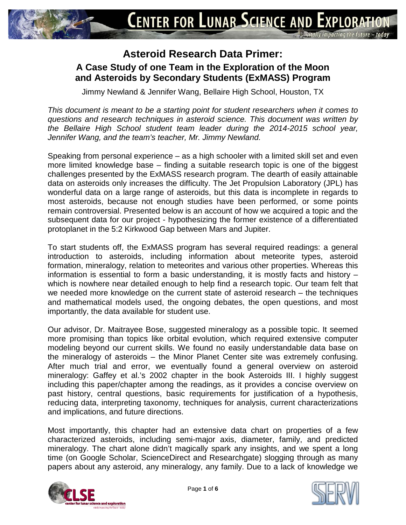

## **Asteroid Research Data Primer: A Case Study of one Team in the Exploration of the Moon and Asteroids by Secondary Students (ExMASS) Program**

Jimmy Newland & Jennifer Wang, Bellaire High School, Houston, TX

*This document is meant to be a starting point for student researchers when it comes to questions and research techniques in asteroid science. This document was written by the Bellaire High School student team leader during the 2014-2015 school year, Jennifer Wang, and the team's teacher, Mr. Jimmy Newland.*

Speaking from personal experience – as a high schooler with a limited skill set and even more limited knowledge base – finding a suitable research topic is one of the biggest challenges presented by the ExMASS research program. The dearth of easily attainable data on asteroids only increases the difficulty. The Jet Propulsion Laboratory (JPL) has wonderful data on a large range of asteroids, but this data is incomplete in regards to most asteroids, because not enough studies have been performed, or some points remain controversial. Presented below is an account of how we acquired a topic and the subsequent data for our project - hypothesizing the former existence of a differentiated protoplanet in the 5:2 Kirkwood Gap between Mars and Jupiter.

To start students off, the ExMASS program has several required readings: a general introduction to asteroids, including information about meteorite types, asteroid formation, mineralogy, relation to meteorites and various other properties. Whereas this information is essential to form a basic understanding, it is mostly facts and history – which is nowhere near detailed enough to help find a research topic. Our team felt that we needed more knowledge on the current state of asteroid research – the techniques and mathematical models used, the ongoing debates, the open questions, and most importantly, the data available for student use.

Our advisor, Dr. Maitrayee Bose, suggested mineralogy as a possible topic. It seemed more promising than topics like orbital evolution, which required extensive computer modeling beyond our current skills. We found no easily understandable data base on the mineralogy of asteroids – the Minor Planet Center site was extremely confusing. After much trial and error, we eventually found a general overview on asteroid mineralogy: Gaffey et al.'s 2002 chapter in the book Asteroids III. I highly suggest including this paper/chapter among the readings, as it provides a concise overview on past history, central questions, basic requirements for justification of a hypothesis, reducing data, interpreting taxonomy, techniques for analysis, current characterizations and implications, and future directions.

Most importantly, this chapter had an extensive data chart on properties of a few characterized asteroids, including semi-major axis, diameter, family, and predicted mineralogy. The chart alone didn't magically spark any insights, and we spent a long time (on Google Scholar, ScienceDirect and Researchgate) slogging through as many papers about any asteroid, any mineralogy, any family. Due to a lack of knowledge we



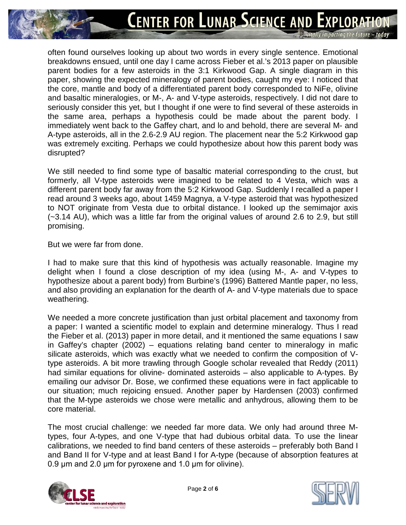often found ourselves looking up about two words in every single sentence. Emotional breakdowns ensued, until one day I came across Fieber et al.'s 2013 paper on plausible parent bodies for a few asteroids in the 3:1 Kirkwood Gap. A single diagram in this paper, showing the expected mineralogy of parent bodies, caught my eye: I noticed that the core, mantle and body of a differentiated parent body corresponded to NiFe, olivine and basaltic mineralogies, or M-, A- and V-type asteroids, respectively. I did not dare to seriously consider this yet, but I thought if one were to find several of these asteroids in the same area, perhaps a hypothesis could be made about the parent body. I immediately went back to the Gaffey chart, and lo and behold, there are several M- and A-type asteroids, all in the 2.6-2.9 AU region. The placement near the 5:2 Kirkwood gap was extremely exciting. Perhaps we could hypothesize about how this parent body was disrupted?

We still needed to find some type of basaltic material corresponding to the crust, but formerly, all V-type asteroids were imagined to be related to 4 Vesta, which was a different parent body far away from the 5:2 Kirkwood Gap. Suddenly I recalled a paper I read around 3 weeks ago, about 1459 Magnya, a V-type asteroid that was hypothesized to NOT originate from Vesta due to orbital distance. I looked up the semimajor axis (~3.14 AU), which was a little far from the original values of around 2.6 to 2.9, but still promising.

But we were far from done.

I had to make sure that this kind of hypothesis was actually reasonable. Imagine my delight when I found a close description of my idea (using M-, A- and V-types to hypothesize about a parent body) from Burbine's (1996) Battered Mantle paper, no less, and also providing an explanation for the dearth of A- and V-type materials due to space weathering.

We needed a more concrete justification than just orbital placement and taxonomy from a paper: I wanted a scientific model to explain and determine mineralogy. Thus I read the Fieber et al. (2013) paper in more detail, and it mentioned the same equations I saw in Gaffey's chapter (2002) – equations relating band center to mineralogy in mafic silicate asteroids, which was exactly what we needed to confirm the composition of Vtype asteroids. A bit more trawling through Google scholar revealed that Reddy (2011) had similar equations for olivine- dominated asteroids – also applicable to A-types. By emailing our advisor Dr. Bose, we confirmed these equations were in fact applicable to our situation; much rejoicing ensued. Another paper by Hardensen (2003) confirmed that the M-type asteroids we chose were metallic and anhydrous, allowing them to be core material.

The most crucial challenge: we needed far more data. We only had around three Mtypes, four A-types, and one V-type that had dubious orbital data. To use the linear calibrations, we needed to find band centers of these asteroids – preferably both Band I and Band II for V-type and at least Band I for A-type (because of absorption features at 0.9 μm and 2.0 μm for pyroxene and 1.0 μm for olivine).



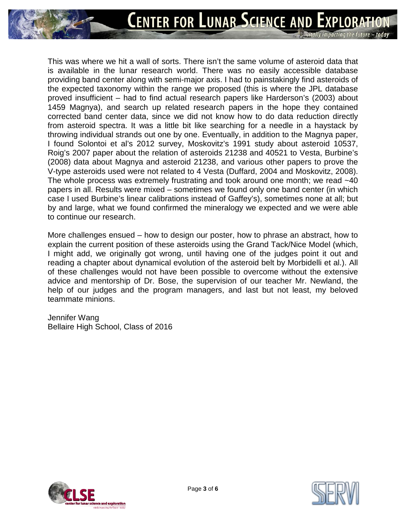This was where we hit a wall of sorts. There isn't the same volume of asteroid data that is available in the lunar research world. There was no easily accessible database providing band center along with semi-major axis. I had to painstakingly find asteroids of the expected taxonomy within the range we proposed (this is where the JPL database proved insufficient – had to find actual research papers like Harderson's (2003) about 1459 Magnya), and search up related research papers in the hope they contained corrected band center data, since we did not know how to do data reduction directly from asteroid spectra. It was a little bit like searching for a needle in a haystack by throwing individual strands out one by one. Eventually, in addition to the Magnya paper, I found Solontoi et al's 2012 survey, Moskovitz's 1991 study about asteroid 10537, Roig's 2007 paper about the relation of asteroids 21238 and 40521 to Vesta, Burbine's (2008) data about Magnya and asteroid 21238, and various other papers to prove the V-type asteroids used were not related to 4 Vesta (Duffard, 2004 and Moskovitz, 2008). The whole process was extremely frustrating and took around one month; we read  $~140$ papers in all. Results were mixed – sometimes we found only one band center (in which case I used Burbine's linear calibrations instead of Gaffey's), sometimes none at all; but by and large, what we found confirmed the mineralogy we expected and we were able to continue our research.

More challenges ensued – how to design our poster, how to phrase an abstract, how to explain the current position of these asteroids using the Grand Tack/Nice Model (which, I might add, we originally got wrong, until having one of the judges point it out and reading a chapter about dynamical evolution of the asteroid belt by Morbidelli et al.). All of these challenges would not have been possible to overcome without the extensive advice and mentorship of Dr. Bose, the supervision of our teacher Mr. Newland, the help of our judges and the program managers, and last but not least, my beloved teammate minions.

Jennifer Wang Bellaire High School, Class of 2016



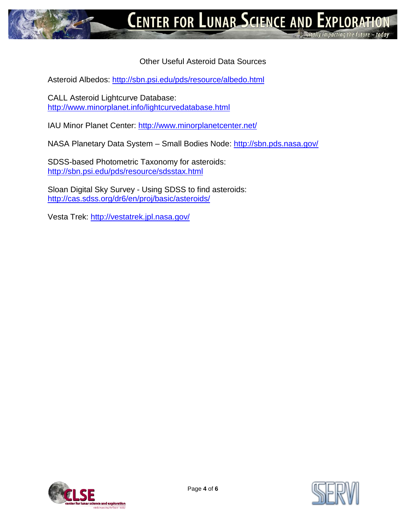## Other Useful Asteroid Data Sources

Asteroid Albedos: <http://sbn.psi.edu/pds/resource/albedo.html>

CALL Asteroid Lightcurve Database: <http://www.minorplanet.info/lightcurvedatabase.html>

IAU Minor Planet Center:<http://www.minorplanetcenter.net/>

NASA Planetary Data System – Small Bodies Node:<http://sbn.pds.nasa.gov/>

SDSS-based Photometric Taxonomy for asteroids: <http://sbn.psi.edu/pds/resource/sdsstax.html>

Sloan Digital Sky Survey - Using SDSS to find asteroids: <http://cas.sdss.org/dr6/en/proj/basic/asteroids/>

Vesta Trek: <http://vestatrek.jpl.nasa.gov/>



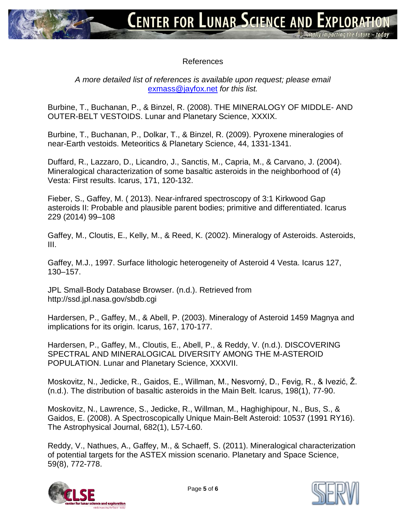## References

## *A more detailed list of references is available upon request; please email*  [exmass@jayfox.net](mailto:exmass@jayfox.net) *for this list.*

Burbine, T., Buchanan, P., & Binzel, R. (2008). THE MINERALOGY OF MIDDLE- AND OUTER-BELT VESTOIDS. Lunar and Planetary Science, XXXIX.

Burbine, T., Buchanan, P., Dolkar, T., & Binzel, R. (2009). Pyroxene mineralogies of near-Earth vestoids. Meteoritics & Planetary Science, 44, 1331-1341.

Duffard, R., Lazzaro, D., Licandro, J., Sanctis, M., Capria, M., & Carvano, J. (2004). Mineralogical characterization of some basaltic asteroids in the neighborhood of (4) Vesta: First results. Icarus, 171, 120-132.

Fieber, S., Gaffey, M. ( 2013). Near-infrared spectroscopy of 3:1 Kirkwood Gap asteroids II: Probable and plausible parent bodies; primitive and differentiated. Icarus 229 (2014) 99–108

Gaffey, M., Cloutis, E., Kelly, M., & Reed, K. (2002). Mineralogy of Asteroids. Asteroids, III.

Gaffey, M.J., 1997. Surface lithologic heterogeneity of Asteroid 4 Vesta. Icarus 127, 130–157.

JPL Small-Body Database Browser. (n.d.). Retrieved from http://ssd.jpl.nasa.gov/sbdb.cgi

Hardersen, P., Gaffey, M., & Abell, P. (2003). Mineralogy of Asteroid 1459 Magnya and implications for its origin. Icarus, 167, 170-177.

Hardersen, P., Gaffey, M., Cloutis, E., Abell, P., & Reddy, V. (n.d.). DISCOVERING SPECTRAL AND MINERALOGICAL DIVERSITY AMONG THE M-ASTEROID POPULATION. Lunar and Planetary Science, XXXVII.

Moskovitz, N., Jedicke, R., Gaidos, E., Willman, M., Nesvorný, D., Fevig, R., & Ivezić, Ž. (n.d.). The distribution of basaltic asteroids in the Main Belt. Icarus, 198(1), 77-90.

Moskovitz, N., Lawrence, S., Jedicke, R., Willman, M., Haghighipour, N., Bus, S., & Gaidos, E. (2008). A Spectroscopically Unique Main-Belt Asteroid: 10537 (1991 RY16). The Astrophysical Journal, 682(1), L57-L60.

Reddy, V., Nathues, A., Gaffey, M., & Schaeff, S. (2011). Mineralogical characterization of potential targets for the ASTEX mission scenario. Planetary and Space Science, 59(8), 772-778.